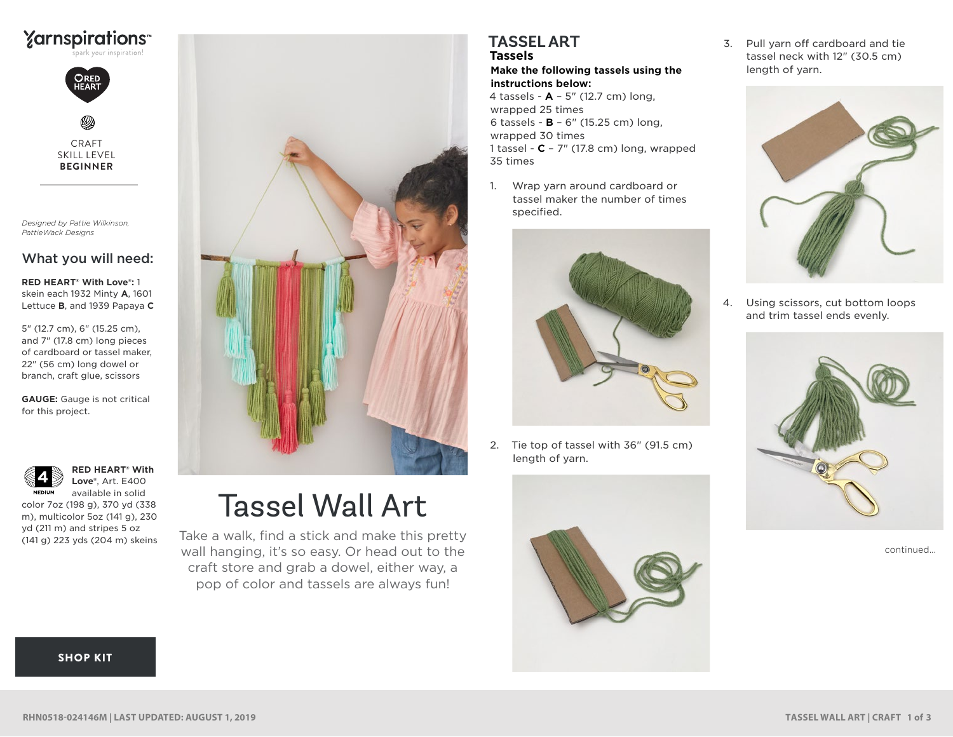



CRAFT SKILL LEVEL **BEGINNER**

*Designed by Pattie Wilkinson, PattieWack Designs*

## What you will need:

**RED HEART® With Love®:** 1 skein each 1932 Minty **A**, 1601 Lettuce **B**, and 1939 Papaya **C**

5" (12.7 cm), 6" (15.25 cm), and 7" (17.8 cm) long pieces of cardboard or tassel maker, 22" (56 cm) long dowel or branch, craft glue, scissors

**GAUGE:** Gauge is not critical for this project.



**RED HEART® With Love®**, Art. E400 available in solid

color 7oz (198 g), 370 yd (338 m), multicolor 5oz (141 g), 230 yd (211 m) and stripes 5 oz (141 g) 223 yds (204 m) skeins



# Tassel Wall Art

Take a walk, find a stick and make this pretty wall hanging, it's so easy. Or head out to the craft store and grab a dowel, either way, a pop of color and tassels are always fun!

## **TASSEL ART Tassels**

**Make the following tassels using the instructions below:**

4 tassels - **A** – 5" (12.7 cm) long, wrapped 25 times 6 tassels - **B** – 6" (15.25 cm) long, wrapped 30 times 1 tassel - **C** – 7" (17.8 cm) long, wrapped 35 times

1. Wrap yarn around cardboard or tassel maker the number of times specified.



2. Tie top of tassel with 36" (91.5 cm) length of yarn.



3. Pull yarn off cardboard and tie tassel neck with 12" (30.5 cm) length of yarn.



4. Using scissors, cut bottom loops and trim tassel ends evenly.



continued...

#### [SHOP KIT](https://www.yarnspirations.com/red-heart-tassel-wall-art/RHN0518-024146M.html#utm_source=pdf-yarnspirations&utm_medium=referral&utm_campaign=pdf-RHN0518-024146M)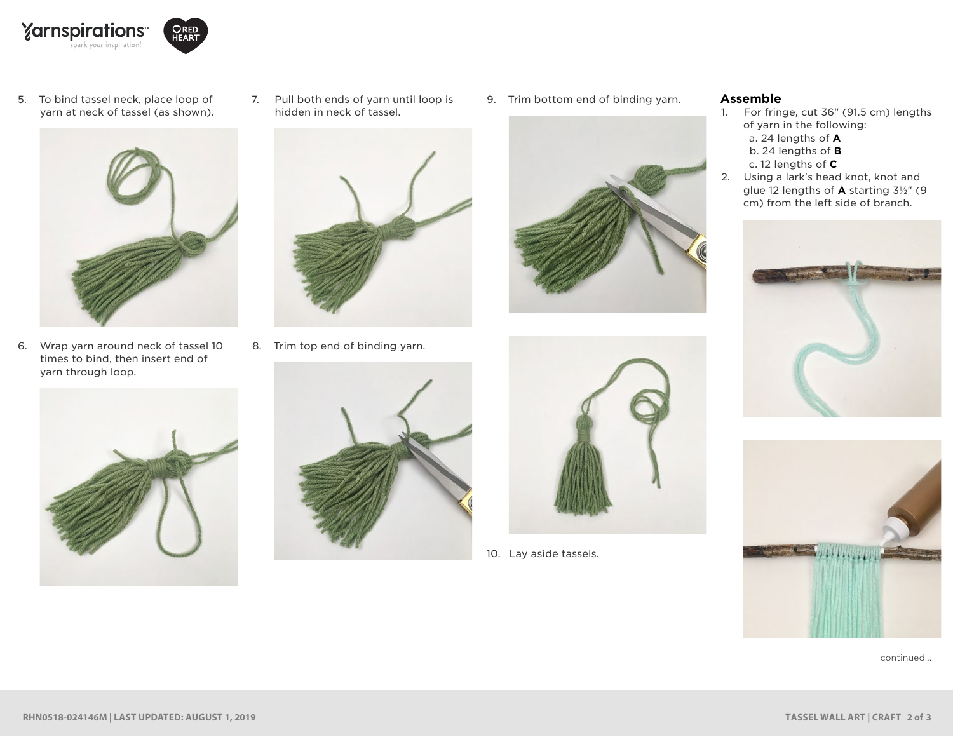



5. To bind tassel neck, place loop of yarn at neck of tassel (as shown).



6. Wrap yarn around neck of tassel 10 times to bind, then insert end of yarn through loop.



7. Pull both ends of yarn until loop is hidden in neck of tassel.



8. Trim top end of binding yarn.



9. Trim bottom end of binding yarn.





10. Lay aside tassels.

#### **Assemble**

- 1. For fringe, cut 36" (91.5 cm) lengths of yarn in the following:
	- a. 24 lengths of **A**
	- b. 24 lengths of **B**
	- c. 12 lengths of **C**
- 2. Using a lark's head knot, knot and glue 12 lengths of **A** starting 3½" (9 cm) from the left side of branch.





continued...